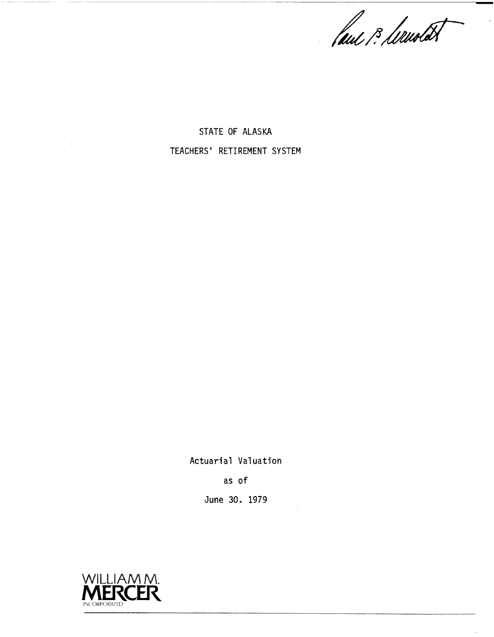faul 13, Wandet

STATE OF ALASKA TEACHERS' RETIREMENT SYSTEM

Actuarial Valuation

as of

June 30. 1979



 $\lambda$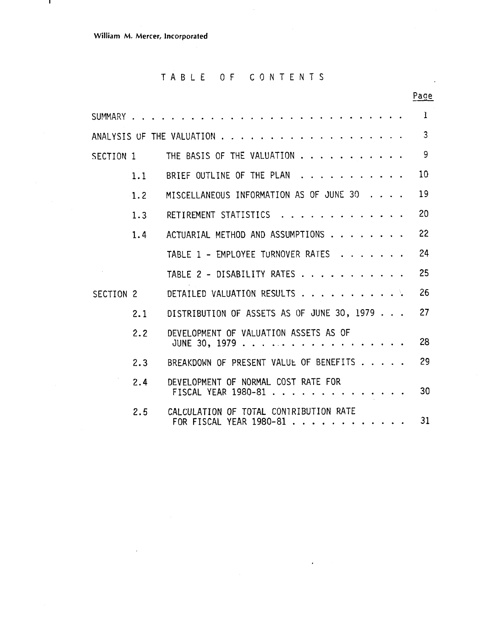$\bar{z}$ 

 $\mathbf{I}$ 

### TABLE OF CONTENTS

 $\sim$ 

|                      |        |                                                                   | Page         |
|----------------------|--------|-------------------------------------------------------------------|--------------|
| SUMMARY              |        |                                                                   | $\mathbf{I}$ |
|                      |        | ANALYSIS OF THE VALUATION .                                       | 3            |
| SECTION 1            |        | THE BASIS OF THE VALUATION                                        | 9            |
|                      | 1.1    | BRIEF OUTLINE OF THE PLAN                                         | 10           |
|                      | $-1.2$ | MISCELLANEOUS INFORMATION AS OF JUNE 30                           | 19           |
|                      | 1.3    | RETIREMENT STATISTICS                                             | 20           |
|                      | 1.4    | ACTUARIAL METHOD AND ASSUMPTIONS                                  | 22           |
|                      |        | TABLE 1 - EMPLOYEE TURNOVER RATES                                 | 24           |
|                      |        | TABLE 2 - DISABILITY RATES                                        | 25           |
| SECTION <sub>2</sub> |        | DETAILED VALUATION RESULTS                                        | 26           |
|                      | 2.1    | DISTRIBUTION OF ASSETS AS OF JUNE 30, 1979                        | 27           |
|                      | 2.2    | DEVELOPMENT OF VALUATION ASSETS AS OF<br>JUNE 30, 1979            | 28           |
|                      | 2.3    | BREAKDOWN OF PRESENT VALUE OF BENEFITS                            | 29           |
|                      | 2.4    | DEVELOPMENT OF NORMAL COST RATE FOR<br>FISCAL YEAR 1980-81.       | 30           |
|                      | 2.5    | CALCULATION OF TOTAL CONTRIBUTION RATE<br>FOR FISCAL YEAR 1980-81 | 31           |

 $\Delta$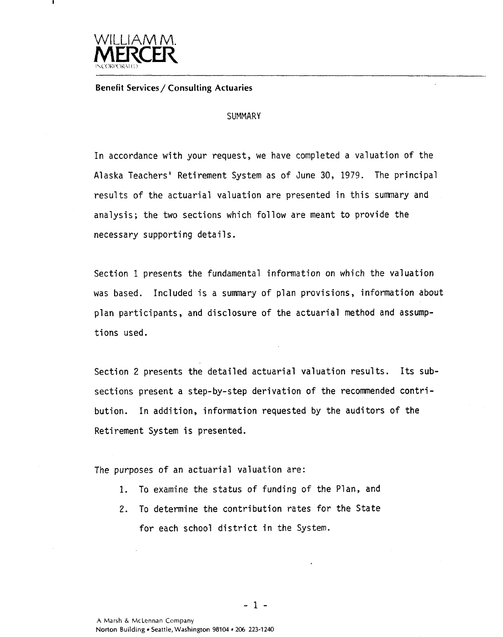

**Benefit Services/ Consulting Actuaries** 

#### **SUMMARY**

In accordance with your request, we have completed a valuation of the Alaska Teachers' Retirement System as of June 30, 1979. The principal results of the actuarial valuation are presented in this summary and analysis; the two sections which follow are meant to provide the necessary supporting details.

Section 1 presents the fundamental information on which the valuation was based. Included is a summary of plan provisions, information about plan participants , and disclosure of the actuarial method and assumptions used.

Section 2 presents the detailed actuarial valuation results. Its subsections present a step-by-step derivation of the recommended contribution. In addition, information requested by the auditors of the Retirement System is presented.

The purposes of an actuarial valuation are:

- **1.** To examine the status of funding of the Plan, and
- **2.** To determine the contribution rates for the State for each school district in the System.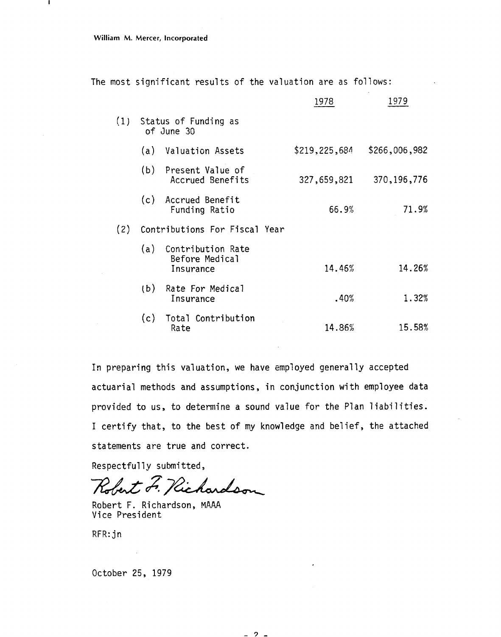|  |  | The most significant results of the valuation are as follows: |  |  |  |  |  |  |  |
|--|--|---------------------------------------------------------------|--|--|--|--|--|--|--|
|--|--|---------------------------------------------------------------|--|--|--|--|--|--|--|

|     |                                                      | 1978          | 1979          |
|-----|------------------------------------------------------|---------------|---------------|
|     | (1) Status of Funding as<br>of June 30               |               |               |
|     | (a) Valuation Assets                                 | \$219,225,684 | \$266,006,982 |
|     | (b) Present Value of<br>Accrued Benefits             | 327,659,821   | 370, 196, 776 |
|     | (c) Accrued Benefit<br>Funding Ratio                 | 66.9%         | 71.9%         |
|     | (2) Contributions For Fiscal Year                    |               |               |
|     | (a) Contribution Rate<br>Before Medical<br>Insurance | 14.46%        | 14.26%        |
| (b) | Rate For Medical<br>Insurance                        | .40%          | 1.32%         |
|     | (c) Total Contribution<br>Rate                       | 14.86%        | 15.58%        |

In preparing this valuation, we have employed generally accepted actuarial methods and assumptions, in conjunction with employee data provided to us, to determine a sound value for the Plan liabilities. I certify that, to the best of my knowledge and belief, the attached statements are true and correct.

Respectfully submitted,

Robert F. Richardson

Robert F. Richardson, MAAA Vice President

RFR: jn

October 25, 1979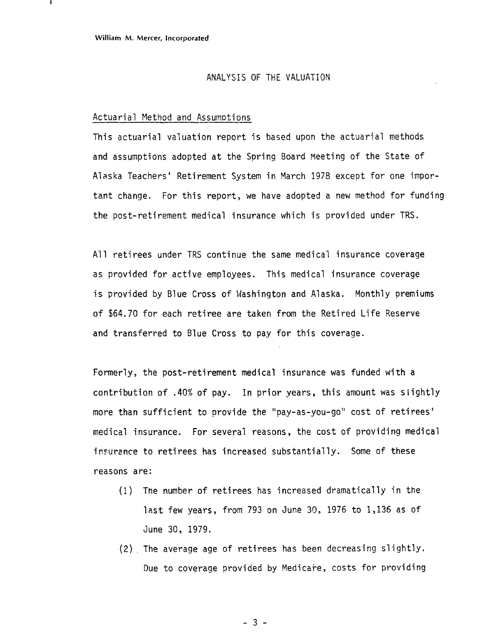#### ANALYSIS OF THE VALUATION

#### Actuarial Method and Assumptions

This actuarial valuation report is based upon the actuarial methods and assumptions adopted at the Spring Board Meeting of the State of Alaska Teachers' Retirement System in March 1978 except for one important change. For this report, we have adopted a new method for funding the post-retirement medical insurance which is provided under TRS.

All retirees under TRS continue the same medical insurance coverage as provided for active employees. This medical insurance coverage is provided by Blue Cross of Washington and Alaska. Monthly premiums of \$64.70 for each retiree are taken from the Retired Life Reserve and transferred to Blue Cross to pay for this coverage.

Formerly, the post-retirement medical insurance was funded with a contribution of .40% of pay. In prior years, this amount was slightly more than sufficient to provide the "pay-as-you-go" cost of retirees' medical insurance. For several reasons, the cost of providing medical insurance to retirees has increased substantially. Some of these reasons are:

- (1) The number of retirees has increased dramatically in the last few years, from 793 on June 30, 1976 to 1,136 as of June 30, 1979.
- (2) , The average age of retirees has been decreasing slightly. Due to coverage provided by Medicare, costs for providing

 $-3 -$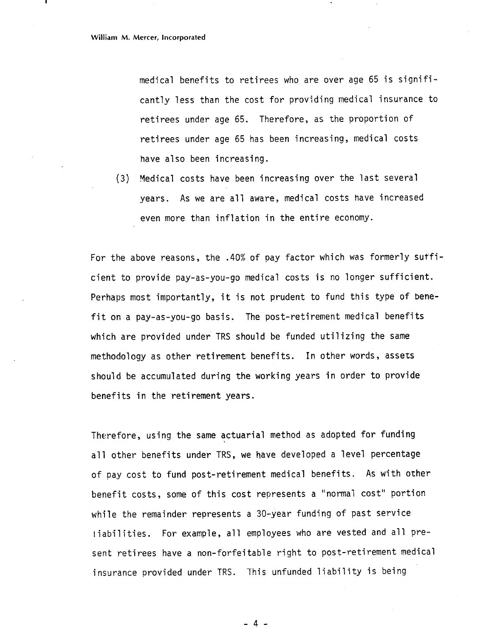medical benefits to retirees who are over age 65 is significantly less than the cost for providing medical insurance to retirees under age 65. Therefore, as the proportion of retirees under age 65 has been increasing, medical costs have also been increasing.

(3) Medical costs have been increasing over the last several years. As we are all aware, medical costs have increased even more than inflation in the entire economy.

For the above reasons, the .40% of pay factor which was formerly sufficient to provide pay-as-you-go medical costs is no longer sufficient. Perhaps most importantly, it is not prudent to fund this type of benefit on a pay-as-you-go basis. The post-retirement medical benefits which are provided under TRS should be funded utilizing the same methodology as other retirement benefits. In other words, assets should be accumulated during the working years in order to provide benefits in the retirement years.

Therefore, using the same actuarial method as adopted for funding all other benefits under TRS, we have developed a level percentage of pay cost to fund post-retirement medical benefits. As with other benefit costs, some of this cost represents a "normal cost" portion while the remainder represents a 30-year funding of past service iabilities. For example, all employees who are vested and all present retirees have a non-forfeitable right to post-retirement medical insurance provided under TRS. This unfunded liability is being

- 4 -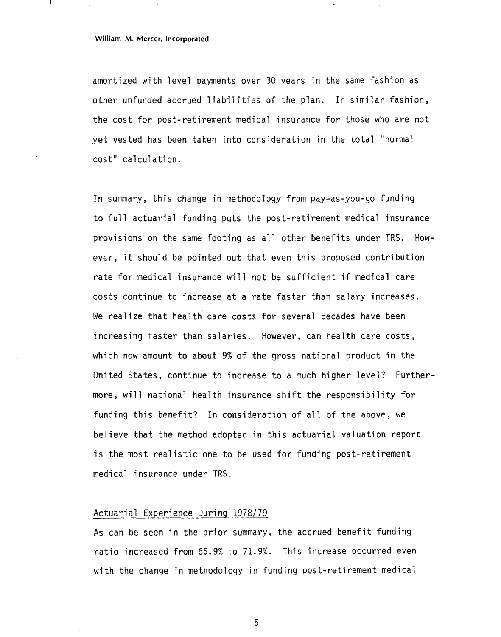#### **William M. Mercer, Incorporated**

amortized with level payments over 30 years in the same fashion as other unfunded accrued liabilities of the plan. In similar fashion, the cost for post-retirement medical insurance for those who are not yet vested has been taken into consideration in the total "normal cost" calculation.

In summary, this change in methodology from pay-as-you-go funding to full actuarial funding puts the post-retirement medical insurance provisions on the same footing as all other benefits under TRS. However, it should be pointed out that even this proposed contribution rate for medical insurance will not be sufficient if medical care costs continue to increase at a rate faster than salary increases. We realize that health care costs for several decades have been increasing faster than salaries. However, can health care costs, which now amount to about 9% of the gross national product in the United States, continue to increase to a much higher level? Furthermore, will national health insurance shift the responsibility for funding this benefit? In consideration of all of the above, we believe that the method adopted in this actuarial valuation report is the most realistic one to be used for funding post-retirement medical insurance under TRS.

#### Actuarial Experience During 1978/79

As can be seen in the prior summary, the accrued benefit funding ratio increased from  $66.9\%$  to  $71.9\%$ . This increase occurred even with the change in methodology in funding post-retirement medical

 $-5 -$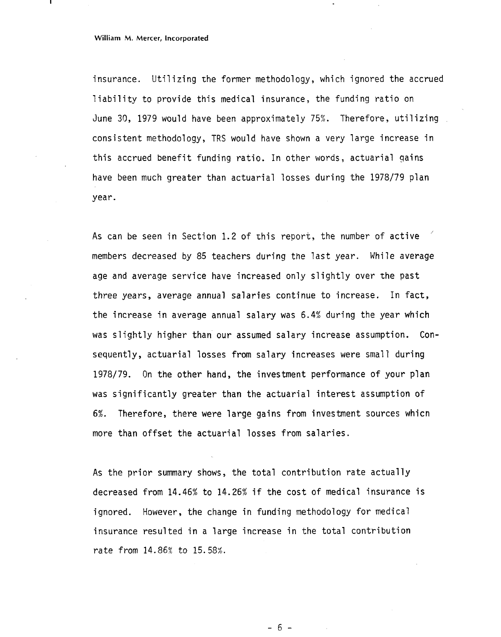#### **William M. Mercer, Incorporated**

insurance. Utilizing the former methodology, which ignored the accrued liability to provide this medical insurance, the funding ratio on June 30, 1979 would have been approximately 75%. Therefore, utilizing consistent methodology, TRS would have shown a very large increase in this accrued benefit funding ratio. In other words, actuarial gains have been much greater than actuarial losses during the 1978/79 plan year.

As can be seen in Section 1.2 of this report, the number of active members decreased by 85 teachers during the last year. While average age and average service have increased only slightly over the past three years, average annual salaries continue to increase. In fact, the increase in average annual salary was 6.4% during the year which was slightly higher than our assumed salary increase assumption. Consequently, actuarial losses from salary increases were small during 1978/79. On the other hand, the investment performance of your plan was significantly greater than the actuarial interest assumption of 6%. Therefore, there were large gains from investment sources whicn more than offset the actuarial losses from salaries.

As the prior summary shows, the total contribution rate actually decreased from 14.46% to 14.26% if the cost of medical insurance is ignored. However, the change in funding methodology for medical insurance resulted in a large increase in the total contribution rate from 14.86% to 15.58%.

 $-6-$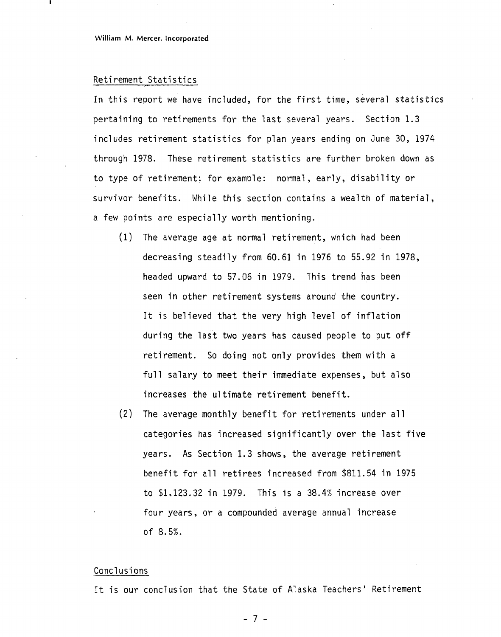#### Retirement Statistics

In this report we have included, for the first time, several statistics pertaining to retirements for the last several years. Section 1.3 includes retirement statistics for plan years ending on June 30, 1974 through 1978. These retirement statistics are further broken down as to type of retirement; for example: normal, early, disability or survivor benefits. While this section contains a wealth of material, a few points are especially worth mentioning.

- (1) The average age at normal retirement, which had been decreasing steadily from 60.61 in 1976 to 55.92 in 1978, headed upward to 57.06 in 1979. This trend has been seen in other retirement systems around the country. It is believed that the very high level of inflation during the last two years has caused people to put off retirement. So doing not only provides then with a full salary to meet their immediate expenses, but also increases the ultimate retirement benefit.
- (2) The average monthly benefit for retirements under all categories has increased significantly over the last five years. As Section 1.3 shows, the average retirement benefit for all retirees increased from \$811.54 in 1975 to \$1.123.32 in 1979. This is a 38.4% increase over four years, or a compounded average annual increase of 8.5%.

#### Conclusions

It is our conclusion that the State of Alaska Teachers' Retirement

 $-7 -$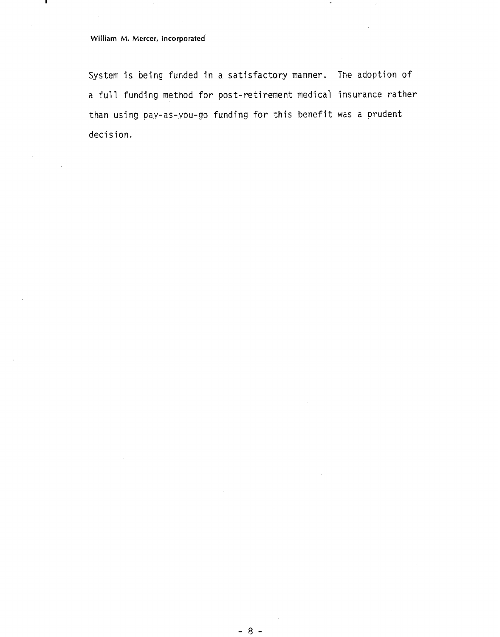### **William** M. **Mercer, incorporated**

System is being funded in a satisfactory manner. The adoption of a full funding method for post-retirement medical insurance rather than using pay-as-you-go funding for this benefit was a prudent decision.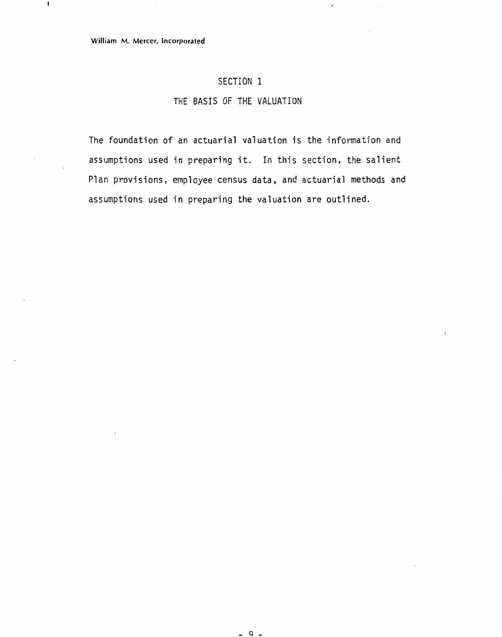$\blacksquare$ 

### **SECTION** I

### **THE BASIS OF THE VALUATION**

The foundation of an actuarial valuation is the information and assumptions used in preparing it. In this section, the salient Plan provisions, employee census data, and actuarial methods and assumptions used in preparing the valuation are outlined.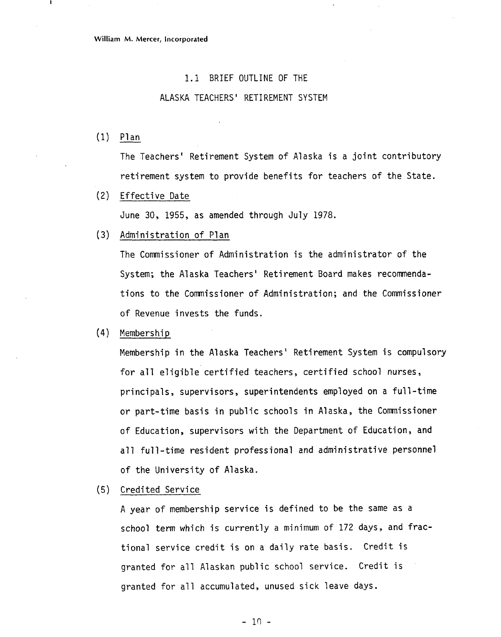#### 1.1 BRIEF OUTLINE OF THE

#### ALASKA TEACHERS' RETIREMENT SYSTEM

 $(1)$  Plan

The Teachers' Retirement System of Alaska is a joint contributory retirement system to provide benefits for teachers of the State.

Effective Date

June 30, 1955, as amended through July 1978.

(3) Administration of Plan

The Commissioner of Administration is the administrator of the System; the Alaska Teachers' Retirement Board makes recommendations to the Commissioner of Administration; and the Commissioner of Revenue invests the funds.

 $(4)$ Membership

> Membership in the Alaska Teachers' Retirement System is compulsory for all eligible certified teachers, certified school nurses, principals, supervisors, superintendents employed on a full-time or part-time basis in public schools in Alaska, the Commissioner of Education, supervisors with the Department of Education, and all full-time resident professional and administrative personnel of the University of Alaska.

(5) Credited Service

A year of membership service is defined to be the same as a school term which is currently a minimum of 172 days, and fractional service credit is on a daily rate basis. Credit is granted for all Alaskan public school service. Credit is granted for all accumulated, unused sick leave days.

 $-10 -$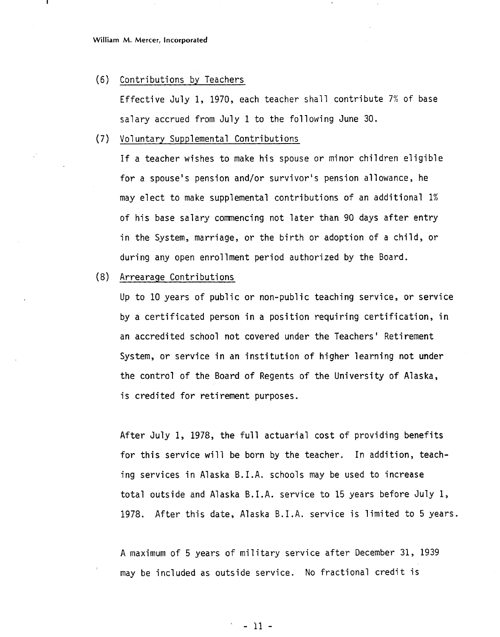(6) Contributions by Teachers

Effective July 1, 1970, each teacher shall contribute 7% of base salary accrued from July 1 to the following June 30.

(7) Vol untary Supplemental Contributions

If a teacher wishes to make his spouse or minor children eligible for a spouse's pension and/or survivor's pension allowance, he may elect to make supplemental contributions of an additional 1% of his base salary commencing not later than 90 days after entry in the System, marriage, or the birth or adoption of a child, or during any open enrollment period authorized by the Board.

(8) Arrearage Contributions

Up to 10 years of public or non-public teaching service, or service by a certificated person in a position requiring certification, in an accredited school not covered under the Teachers' Retirement System, or service in an institution of higher learning not under the control of the Board of Regents of the University of Alaska, is credited for retirement purposes.

After July 1, 1978, the full actuarial cost of providing benefits for this service will be born by the teacher. In addition, teaching services in Alaska B.I.A. schools may be used to increase total outside and Alaska B.I.A. service to 15 years before July 1, 1978. After this date, Alaska B.I.A. service is limited to 5 years.

A maximum of 5 years of military service after December 31, 1939 may be included as outside service. No fractional credit is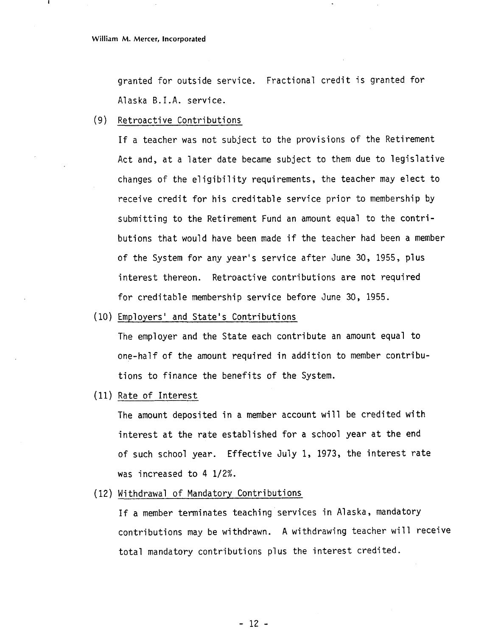granted for outside service. Fractional credit is granted for Alaska B. I.A. service.

(9) Retroactive Contributions

If a teacher was not subject to the provisions of the Retirement Act and, at a later date became subject to them due to legislative changes of the eligibility requirements, the teacher may elect to receive credit for his creditable service prior to membership by submitting to the Retirement Fund an amount equal to the contributions that would have been made if the teacher had been a member of the System for any year's service after June 30, 1955, plus interest thereon. Retroactive contributions are not required for creditable membership service before June 30, 1955.

(10) Employers' and State's Contributions

The employer and the State each contribute an amount equal to one-half of the amount required in addition to member contributions to finance the benefits of the System.

(11) Rate of Interest

The amount deposited in a member account will be credited with interest at the rate established for a school year at the end of such school year. Effective July 1, 1973, the interest rate was increased to  $4 \frac{1}{2}\%$ .

(12) Withdrawal of Mandatory Contributions

If a member terminates teaching services in Alaska, mandatory contributions may be withdrawn. A withdrawing teacher will receive total mandatory contributions plus the interest credited.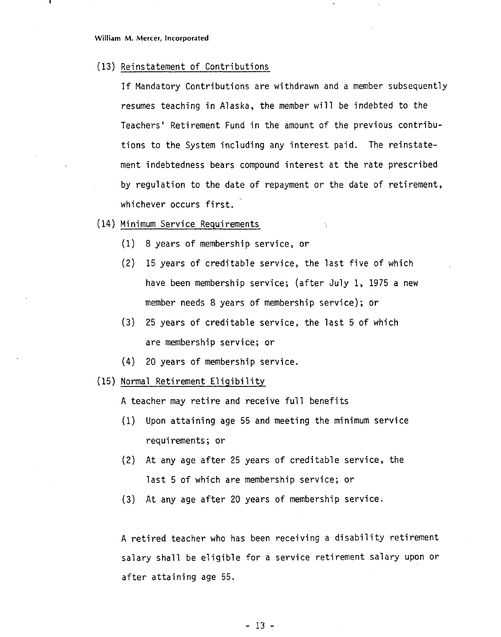(13) Reinstatement of Contributions

If Mandatory Contributions are withdrawn and a member subsequently resumes teaching in Alaska, the member will be indebted to the Teachers' Retirement Fund in the amount of the previous contributions to the System including any interest paid. The reinstatement indebtedness bears compound interest at the rate prescribed by regulation to the date of repayment or the date of retirement, whichever occurs first.

- (14) Mi nimum Service Requi rements
	- (1) 8 years of membership service, or
	- (2) 15 years of creditable service, the last five of which have been membership service; (after July 1, 1975 a new member needs 8 years of membership service); or
	- (3) 25 years of creditable service, the last 5 of which are membership service; or
	- (4) 20 years of membership service.
- (15) Normal Retirement Eligibility

A teacher may retire and receive full benefits

- (1) Upon attaining age 55 and meeting the minimum service requirements; or
- **(2)** At any age after 25 years of creditable service, the last 5 of which are membership service; or
- (3) At any age after 20 years of membership service.

A retired teacher who has been receiving a disability retirement salary shall be eligible for a service retirement salary upon or after attaining age 55.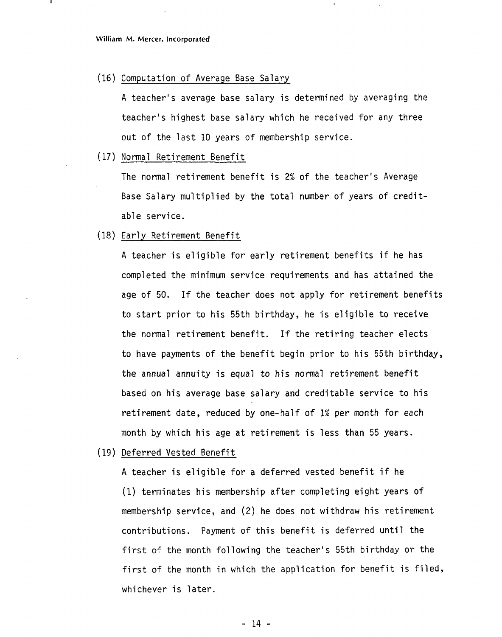(16) Computation of Average Base Salary

A teacher's average base salary is determined by averaging the teacher's highest base salary which he received for any three out of the last 10 years of membership service.

(17) Normal Retirement Benefit

The normal retirement benefit is 2% of the teacher's Average Base Salary mu1 tiplied by the total number of years of creditable service.

(18) Early Retirement Benefit

**<sup>A</sup>**teacher is eligible for early retirement benefits if he has completed the minimum service requirements and has attained the age of 50. If the teacher does not apply for retirement benefits to start prior to his 55th birthday, he is eligible to receive the normal retirement benefit. If the retiring teacher elects to have payments of the benefit begin prior to his 55th birthday, the annual annuity is equal to his normal retirement benefit based on his average base salary and creditable service to his retirement date, reduced by one-half of 1% per month for each month by which his age at retirement is less than 55 years.

(19) Deferred Vested Benefit

A teacher is eligible for a deferred vested benefit if he (1) terminates his membership after completing eight years of membership service, and (2) he does not withdraw his retirement contributions. Payment of this benefit is deferred until the first of the month following the teacher's 55th birthday or the first of the month in which the application for benefit is filed, whichever is later.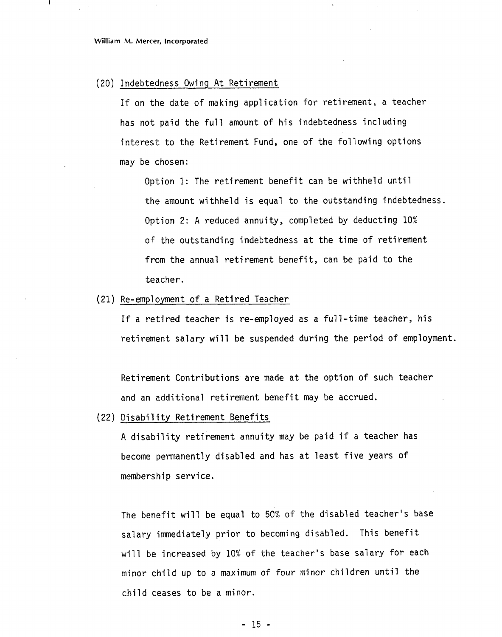#### (20) Indebtedness Owing At Retirement

If on the date of making application for retirement, a teacher has not paid the full amount of his indebtedness including interest to the Retirement Fund, one of the following options may be chosen:

Option 1: The retirement benefit can be withheld until the amount withheld is equal to the outstanding indebtedness. Option 2: A reduced annuity, completed by deducting 10% of the outstanding indebtedness at the time of retirement from the annual retirement benefit, can be paid to the teacher.

#### (21) Re-employment of a Retired Teacher

If a retired teacher is re-employed as a full-time teacher, his retirement salary will be suspended during the period of employment.

Retirement Contributions are made at the option of such teacher and an additional retirement benefit may be accrued.

#### (22) Disability Retirement Benefits

A disability retirement annuity may be paid if a teacher has become permanently disabled and has at least five years of membership service.

The benefit will be equal to 50% of the disabled teacher's base salary immediately prior to becoming disabled. This benefit will be increased by 10% of the teacher's base salary for each minor child up to a maximum of four minor children until the child ceases to be a minor.

 $-15 -$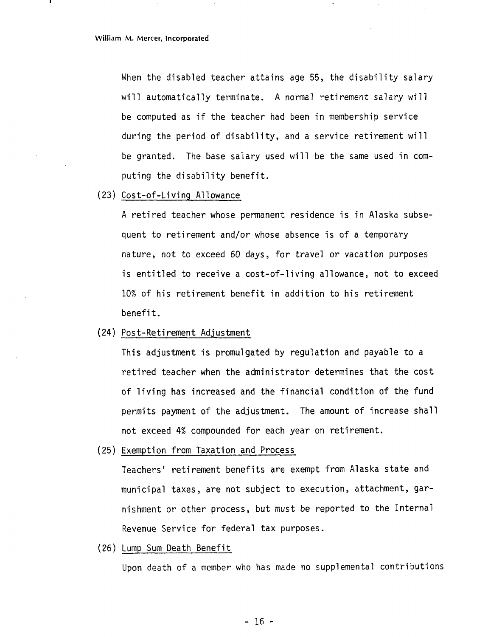When the disabled teacher attains age 55, the disability salary will automatically terminate. A normal retirement salary will be computed as if the teacher had been in membership service during the period of disability, and a service retirement will be granted. The base salary used will be the same used in computing the disability benefit.

**(23)** Cost-of-Li vi ng A1 lowance

A retired teacher whose permanent residence is in Alaska subsequent to retirement and/or whose absence is of a temporary nature, not to exceed 60 days, for travel or vacation purposes is entitled to receive a cost-of-living allowance, not to exceed 10% of his retirement benefit in addition to his retirement benefit.

(24) Post-Retirement Adjustment

This adjustment is promulgated by regulation and payable to a retired teacher when the administrator determines that the cost of living has increased and the financial condition of the fund permits payment of the adjustment. The amount of increase shall not exceed 4% compounded for each year on retirement.

(25) Exemption from Taxation and Process

Teachers' retirement benefits are exempt from Alaska state and municipal taxes, are not subject to execution, attachment, garnishment or other process, but must be reported to the Internal Revenue Service for federal tax purposes.

(26) Lump Sum Death Benefit

Upon death of a member who has made no supplemental contributions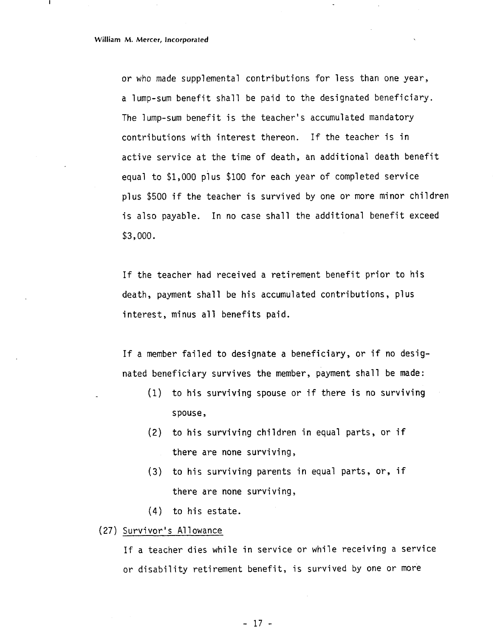or who made supplemental contributions for less than one year, a lump-sum benefit shall be paid to the designated beneficiary. The lump-sum benefit is the teacher's accumulated mandatory contributions with interest thereon. If the teacher is in active service at the time of death, an additional death benefit equal to \$1,000 plus \$100 for each year of completed service plus \$500 if the teacher is survived by one or more minor chi1 dren is also payable. In no case shall the additional benefit exceed \$3,000.

If the teacher had received a retirement benefit prior to his death, payment shall be his accumulated contributions, plus interest, minus all benefits paid.

If a member failed to designate a beneficiary, or if no designated beneficiary survives the member, payment shall be made:

- **(1)** to his surviving spouse or if there is no surviving spouse,
- (2) to his surviving children in equal parts, or if there are none surviving,
- **(3)** to his surviving parents in equal parts, or, if there are none surviving,
- (4) to his estate.
- (27) Survivor's Allowance

If a teacher dies while in service or while receiving a service or disability retirement benefit, is survived by one or more

 $-17 -$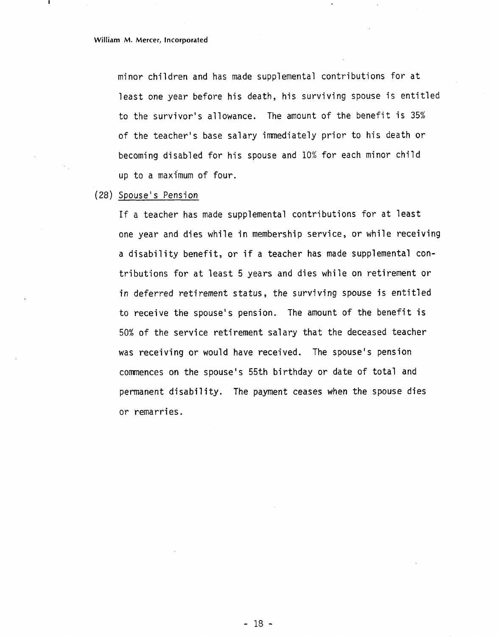minor children and has made supplemental contributions for at least one year before his death, his surviving spouse is entitled to the survivor's allowance. The amount of the benefit is 35% of the teacher's base salary immediately prior to his death or becoming disabled for his spouse and 10% for each minor child up to a maxi'mum of four.

(28) Spouse's Pension

If a teacher has made supplemental contributions for at least one year and dies while in membership service, or while receiving a disability benefit, or if a teacher has made supplemental contributions for at least 5 years and dies while on retirement or *in* deferred retirement status, the surviving spouse is entitled to receive the spouse's pension. The amount of the benefit is 50% of the service retirement salary that the deceased teacher was receiving or would have received. The spouse's pension commences on the spouse's 55th birthday or date of total and permanent disability. The payment ceases when the spouse dies or remarries.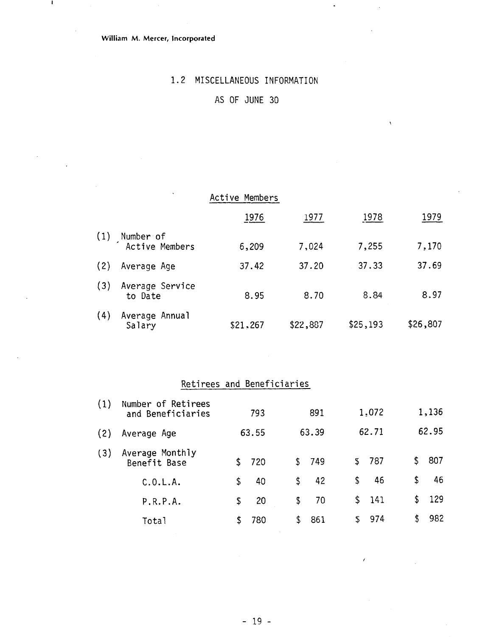**William M. Mercer, Incorporated** 

 $\mathbf{I}$ 

### 1.2 MISCELLANEOUS INFORMATION

 $\ddot{\phantom{a}}$ 

### AS OF JUNE 30

|     |                             | Active Members |          |          |          |
|-----|-----------------------------|----------------|----------|----------|----------|
|     |                             | 1976           | 1977     | 1978     | 1979     |
| (1) | Number of<br>Active Members | 6,209          | 7,024    | 7,255    | 7,170    |
| (2) | Average Age                 | 37.42          | 37.20    | 37.33    | 37.69    |
| (3) | Average Service<br>to Date  | 8.95           | 8.70     | 8.84     | 8.97     |
| (4) | Average Annual<br>Salary    | \$21,267       | \$22,887 | \$25,193 | \$26,807 |

## Retirees and Beneficiaries

| (1) | Number of Retirees<br>and Beneficiaries | 793      | 891       |    | 1,072 |     | 1,136 |
|-----|-----------------------------------------|----------|-----------|----|-------|-----|-------|
| (2) | Average Age                             | 63.55    | 63.39     |    | 62.71 |     | 62.95 |
| (3) | Average Monthly<br>Benefit Base         | 720      | \$749     | \$ | -787  | \$. | 807   |
|     | C.0.L.A.                                | \$<br>40 | \$<br>42  | \$ | 46    | \$  | 46    |
|     | P.R.P.A.                                | \$<br>20 | \$<br>70  |    | \$141 | \$  | -129  |
|     | Total                                   | 780      | \$<br>861 | S. | 974   | \$  | 982   |

 $\lambda$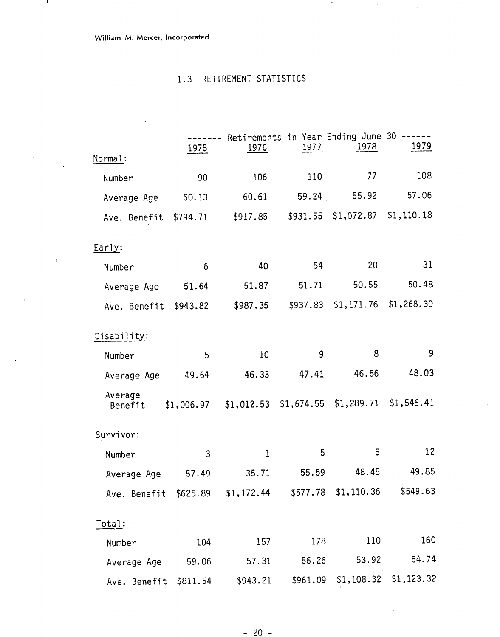### **William M. Mercer, incorporated**

 $\mathbf{I}$ 

 $\cdot$ 

### 1.3 RETIREMENT STATISTICS

 $\bullet$ 

|                                                               |                   |                                         |          | Retirements in Year Ending June 30 - | <u>1979</u> |
|---------------------------------------------------------------|-------------------|-----------------------------------------|----------|--------------------------------------|-------------|
| Normal:                                                       | 1975              | 1976                                    | 1977     | <u> 1978 </u>                        |             |
| Number                                                        | 90                | 106                                     | 110      | 77                                   | 108         |
| Average Age                                                   | 60.13             | 60.61                                   | 59.24    | 55.92                                | 57.06       |
| Ave. Benefit                                                  | \$794.71          | \$917.85                                | \$931.55 | \$1,072.87                           | \$1,110.18  |
| Early:                                                        |                   |                                         |          |                                      |             |
| Number                                                        | $\ddot{\text{o}}$ | 40                                      | 54       | 20                                   | 31          |
| Average Age                                                   | 51.64             | 51.87                                   | 51.71    | 50.55                                | 50.48       |
| Ave. Benefit                                                  | \$943.82          | \$987.35                                |          | \$937.83 \$1,171.76                  | \$1,268.30  |
| Disability:                                                   |                   |                                         |          |                                      |             |
| Number                                                        | 5                 | 10                                      | 9        | 8                                    | 9           |
| Average Age                                                   | 49.64             | 46.33                                   | 47.41    | 46.56                                | 48.03       |
| Average<br>Benefit                                            | \$1,006.97        | $$1,012.53$ $$1,674.55$ $$1,289.71$     |          |                                      | \$1,546.41  |
| Survivor:                                                     |                   |                                         |          |                                      |             |
| Number                                                        | 3                 | 1                                       | 5        | 5                                    | 12          |
| Average Age 57.49 35.71 55.59                                 |                   |                                         |          | 48.45                                | 49.85       |
| Ave. Benefit \$625.89 \$1,172.44 \$577.78 \$1,110.36 \$549.63 |                   |                                         |          |                                      |             |
| Total:                                                        |                   |                                         |          |                                      |             |
| Number                                                        | 104               | 157                                     | 178      | 110                                  | 160         |
| Average Age 59.06                                             |                   | 57.31 56.26                             |          |                                      | 53.92 54.74 |
| Ave. Benefit \$811.54                                         |                   | \$943.21 \$961.09 \$1,108.32 \$1,123.32 |          |                                      |             |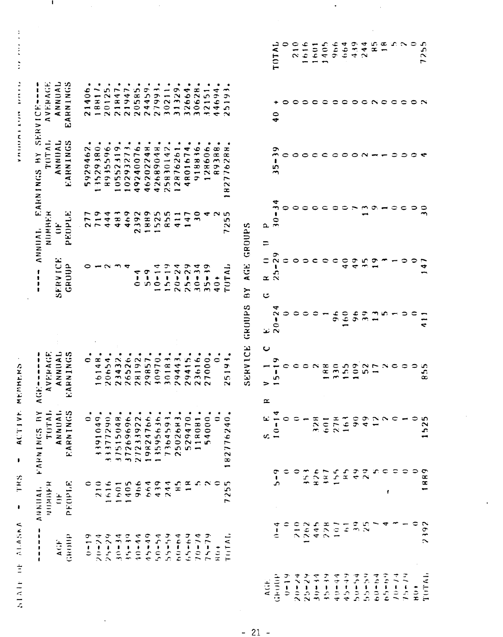| ÷<br>۰<br>t<br>$\frac{1}{1}$<br>$\mathbf{I}$ |                                                                                  |                                                                                                                                                   |                                                                                        |                               |                                                       |                                                           |                                                                                                                              |                                                                                  |                                             |
|----------------------------------------------|----------------------------------------------------------------------------------|---------------------------------------------------------------------------------------------------------------------------------------------------|----------------------------------------------------------------------------------------|-------------------------------|-------------------------------------------------------|-----------------------------------------------------------|------------------------------------------------------------------------------------------------------------------------------|----------------------------------------------------------------------------------|---------------------------------------------|
|                                              | $N = N$<br>$\frac{1}{4}$ $\frac{1}{2}$ $\frac{1}{2}$ $\frac{1}{2}$ $\frac{1}{2}$ | TUTAL<br>FARNINGS BY                                                                                                                              | VERAGE<br>,,,,<br>$\pmb{\ast}$<br>$\pmb{\ast}$<br>$\blacktriangleleft$<br>ند<br>ت<br>< |                               | ŧ<br>,<br>,<br>ŧ                                      | NUMHER<br>ANNIAL.                                         | TOTAL<br>H <sub>Y</sub><br><b>FARNINGS</b>                                                                                   | <b>AVERAGE</b><br>ı<br>ŧ<br>٠<br>SERVICE                                         |                                             |
| $A$ $(i)$ $F$                                | $\ddot{\phantom{1}}$                                                             | ANNUAI.                                                                                                                                           | ANNIAL                                                                                 |                               | <b>SERVICE</b>                                        | ë                                                         | <b>ANNIAL</b><br>EARNINGS                                                                                                    | ANNUAL<br>EARNINGS                                                               |                                             |
| GROUP                                        | PEOPLE                                                                           | ARNINGS<br>$\mathbf{L}$                                                                                                                           | <b>EARNINGS</b>                                                                        |                               | GRUIJP                                                | PEOPLE                                                    |                                                                                                                              |                                                                                  |                                             |
| ᡋ                                            | ∊                                                                                | ٠<br>0                                                                                                                                            | 0                                                                                      |                               |                                                       | ∼<br>∼<br>$\sim$ $\sim$ $\sim$                            | ٠<br>$\sim$<br>ع<br>$\blacktriangledown$<br>$\bullet$<br>$\sim$<br>$\frac{9}{5}$                                             |                                                                                  |                                             |
| $20 - 74$                                    | ≎<br>$\overline{\phantom{0}}$<br>$\mathbb{R}$                                    | ٠<br>$\sigma$<br>$\bar{\textbf{r}}$<br>$\mathbf{\circ}$<br>$\overline{\phantom{0}}$<br>o,<br>$\overline{\phantom{1}}$<br>$\overline{\phantom{a}}$ | œ<br>4<br>$\overline{\phantom{m}}$<br>عہ                                               |                               |                                                       | ᡔ<br>$\overline{\phantom{0}}$                             | 13529380                                                                                                                     |                                                                                  |                                             |
| $21 - 29$                                    | 616                                                                              | 1377290<br>÷                                                                                                                                      | $\mathbf{5}$<br>$\overline{6}$<br>$\sim$                                               |                               | $\sim$                                                | ₹<br>$\blacktriangleleft$                                 | 5596<br>$\frac{1}{2}$                                                                                                        |                                                                                  |                                             |
| $30 - 34$                                    | 1601                                                                             | 1515048.<br>$\overline{\phantom{m}}$                                                                                                              | $\mathbf{32}$<br>$\overline{34}$<br>$\sim$                                             |                               |                                                       | $\tilde{\phantom{a}}$<br>48                               | 10552319                                                                                                                     |                                                                                  |                                             |
| $35 - 39$                                    | 1405                                                                             | $\bullet$<br>$\begin{array}{c} 37269696 \\ 27233922 \\ 19824766 \end{array}$                                                                      | 26<br>26526<br>28192<br>29857                                                          |                               | ₹                                                     | 999522                                                    | $\blacksquare$                                                                                                               |                                                                                  |                                             |
| $40 - 44$                                    | 966                                                                              | ٠                                                                                                                                                 |                                                                                        |                               | ↽<br>,<br>$\mathbf{C}$                                | $\sim$                                                    | ٠<br>9240076<br>$\blacktriangledown$                                                                                         |                                                                                  |                                             |
| $4 - 49$                                     | 664                                                                              | 66.                                                                                                                                               |                                                                                        |                               | $\mathbf{r}$<br>ာင                                    | $\overline{\phantom{0}}$                                  | ٠<br>46202248                                                                                                                |                                                                                  |                                             |
| $4 - 94$                                     | 439                                                                              | ٠<br>3595636<br>$\overline{\phantom{a}}$                                                                                                          | 10970                                                                                  |                               | ₹<br>$\overline{\phantom{m}}$<br>$\pmb{\mathfrak{h}}$ | $\overline{\phantom{0}}$                                  | ٠<br>9048<br>4268                                                                                                            |                                                                                  |                                             |
| $66 - 66$                                    | 244                                                                              | ٠                                                                                                                                                 | 0183                                                                                   |                               | $-19$<br>$\frac{1}{2}$                                | 5 <sub>5</sub><br>œ                                       | ٠<br>25830142                                                                                                                |                                                                                  |                                             |
| セクラーマム                                       | $\frac{5}{1}$                                                                    | ٠<br>7364593.<br>2502683.                                                                                                                         | J<br>$\vec{z}$<br>$\frac{4}{9}$<br>$m \sim$                                            |                               | ≂<br>$\sim$<br>$26 - 7$                               | $\overline{\phantom{a}}$<br>$\overline{\phantom{a}}$<br>↽ | $\overline{6}$<br>62<br>$\overline{ }$<br>$\infty$<br>$\sim$                                                                 |                                                                                  |                                             |
| $65 - 64$                                    | $\overline{\phantom{a}}$                                                         |                                                                                                                                                   | in,<br>$\overline{\phantom{a}}$<br>$\frac{4}{9}$                                       |                               | $\tilde{\mathbf{z}}$                                  | $\overline{ }$<br>4                                       | $\blacktriangledown$<br>167<br>$\overset{\text{\normalsize o}}{\mathtt{x}}$<br>$\blacktriangledown$                          |                                                                                  |                                             |
| $10 - 14$                                    | $\alpha$ $\alpha$ $\alpha$ $\alpha$                                              | 529470                                                                                                                                            | 3616<br>$\sim$ $\sim$                                                                  |                               | ◅<br>$30 - 3$                                         | $\bullet$<br>$\rightarrow$                                | 8836.<br>$\overline{\phantom{a}}$<br>$\sigma$                                                                                |                                                                                  |                                             |
| $4 - 79$                                     |                                                                                  | 4000<br>۱n                                                                                                                                        | 7000<br>$\sim$                                                                         |                               | <sub>ີ</sub><br>∽<br>B<br>$\overline{\mathbf{3}}$     | ▿                                                         | ٠<br>28606<br>$\rightarrow$                                                                                                  | $\overline{5}$<br>$\overline{\phantom{a}}$<br>$\sim$<br>$\overline{\phantom{a}}$ |                                             |
| $\frac{1}{2}$                                |                                                                                  | 0                                                                                                                                                 |                                                                                        |                               | ۰<br>$\frac{1}{4}$                                    | $\sim$                                                    | $\frac{a}{a}$<br>$\overline{\phantom{m}}$<br>$\mathbf{\sigma}$<br>$\infty$                                                   | 4<br>69<br>$\blacktriangledown$<br>$\rightarrow$                                 |                                             |
| <b>TUTAL</b>                                 | Æ<br>S.<br>$\sim$<br>$\overline{ }$                                              | ٠<br>$\frac{40}{5}$<br>827762<br>$\overline{\phantom{0}}$                                                                                         | 519<br>$\sim$                                                                          |                               | TUTAL                                                 | ഗ<br>دی<br>N<br>$\overline{r}$                            | æ<br>$\infty$<br>$\sim$<br>۰<br>$\overline{\phantom{0}}$<br>$\overline{ }$<br>$\sim$<br>$\infty$<br>$\overline{\phantom{0}}$ | $\overline{\phantom{m}}$<br>ĉ<br>$\overline{\phantom{a}}$<br>ာ<br>$\sim$         |                                             |
|                                              |                                                                                  |                                                                                                                                                   | SERVICE                                                                                | GROUPS                        | <b>ACE</b><br>ΒY                                      | GRUUPS                                                    |                                                                                                                              |                                                                                  |                                             |
|                                              |                                                                                  | Ġ.                                                                                                                                                | $\mathbf C$<br>⋗<br><b>II</b>                                                          | C                             | $\propto$                                             | Δ.<br>$\equiv$                                            |                                                                                                                              |                                                                                  |                                             |
| ł<br>≎                                       | $\mathbf{I}$<br>ين<br>4                                                          | $\frac{4}{1}$<br>$10-$<br>రా                                                                                                                      | ా<br>$\frac{1}{2}$                                                                     | ₹<br>$\sim$<br>٠<br>ာ ဇီ<br>အ | $\frac{9}{2}$<br>t<br>25                              | $\frac{4}{3}$<br>ŧ<br>$\frac{1}{2}$                       | $\rightarrow$<br>مرج<br>$\rightarrow$                                                                                        | $\ddot{\bullet}$                                                                 | TOTAL                                       |
|                                              | Φ                                                                                | $\circ$<br>≎                                                                                                                                      |                                                                                        |                               | ≎                                                     |                                                           |                                                                                                                              |                                                                                  | っ                                           |
| $\frac{1}{2}$                                |                                                                                  | 0<br>0                                                                                                                                            |                                                                                        | 0                             | $\circ$                                               | っ                                                         | ○                                                                                                                            |                                                                                  | 210                                         |
| $\frac{1262}{445}$                           | 353                                                                              |                                                                                                                                                   |                                                                                        | ≎                             | っ                                                     |                                                           |                                                                                                                              |                                                                                  | 616                                         |
|                                              | 426                                                                              | 328                                                                                                                                               | $\sim$                                                                                 | 0                             | $\mathbf{C}$                                          | င                                                         | $\mathbf C$                                                                                                                  | c                                                                                | 1601                                        |
|                                              | 187                                                                              | 601                                                                                                                                               | 188                                                                                    | $\overline{\phantom{0}}$      | $\circ$                                               | ⊂                                                         | $\subset$                                                                                                                    | $\bullet$                                                                        | 405<br>$\overline{\phantom{a}}$             |
| 101                                          | $1 - 5$                                                                          | 278                                                                                                                                               | $\mathfrak{z}_0$<br>$\rightarrow$                                                      | $\mathbf{\hat{6}}$            | $\subset$                                             | 0                                                         | $\circ$ $\circ$                                                                                                              |                                                                                  | 966                                         |
| $\overline{6}$                               |                                                                                  | $\begin{bmatrix} 6 \\ 1 \end{bmatrix}$<br>$\frac{1}{x}$                                                                                           | 155                                                                                    | 60                            | $\frac{1}{4}$                                         | ≎                                                         |                                                                                                                              |                                                                                  | 664                                         |
| $\mathbf{3}$                                 |                                                                                  | $\frac{6}{9}$<br>$\frac{9}{1}$                                                                                                                    | $\frac{9}{2}$                                                                          | ¢<br>G.                       | $\frac{3}{4}$                                         |                                                           | $\circ$ $\sim$                                                                                                               |                                                                                  | 4.39                                        |
| $\tilde{\chi}$                               |                                                                                  | $9200 -$<br>$\overline{2}$                                                                                                                        | $\sim$<br>5                                                                            | $\frac{9}{2}$                 | $\frac{5}{2}$                                         |                                                           |                                                                                                                              | $\begin{array}{c} \circ \circ \circ \circ \circ \circ \end{array}$               | 4<br>$\frac{4}{2}$                          |
|                                              |                                                                                  | ممته                                                                                                                                              | $\overline{ }$<br>$\overline{\phantom{0}}$                                             | $\rightarrow$                 | $\sigma$                                              | $\sigma \rightarrow$                                      |                                                                                                                              |                                                                                  | $\mathfrak{c}\cdot\mathfrak{a}$<br>$\infty$ |
|                                              | ŧ                                                                                | $\mathbf{\mathsf{C}}$                                                                                                                             | $\sim$ $\sim$                                                                          | m                             |                                                       |                                                           |                                                                                                                              |                                                                                  |                                             |
|                                              |                                                                                  | ≎                                                                                                                                                 |                                                                                        |                               |                                                       | ≎                                                         |                                                                                                                              | $\circ$                                                                          | $\infty$ $\sim$                             |
|                                              |                                                                                  | 0                                                                                                                                                 | ≎                                                                                      | ၁                             |                                                       | ∊                                                         | ၁                                                                                                                            | င                                                                                |                                             |
|                                              | ≎                                                                                | ≎<br>∍                                                                                                                                            | 0                                                                                      |                               |                                                       | 0                                                         |                                                                                                                              | $\circ$ $\sim$                                                                   | ≎                                           |
| 2392                                         | 1889                                                                             | က<br>152                                                                                                                                          | 855                                                                                    | 4                             | ᢌ                                                     |                                                           |                                                                                                                              |                                                                                  | م<br>25<br>$\overline{ }$                   |

 $\ddot{\phantom{0}}$ 

 $\overline{\phantom{a}}$ 

 $\epsilon$ 

 $\ddot{\phantom{0}}$ 

 $\frac{1}{2}$ 

**A SEP AND A RIVER SHOPPING** 

 $\mathbf{I}$ 

 $-21$  -

 $\ddot{\phantom{0}}$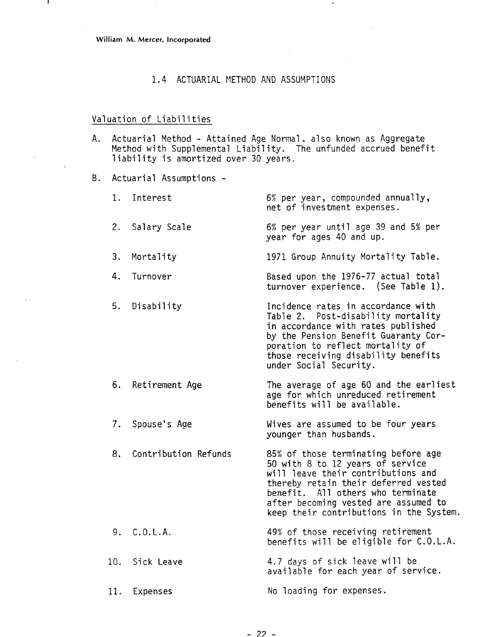### 1.4 ACTUARIAL METHOD AND ASSUMPTIONS

#### Valuation of Liabilities

A. Actuarial Method - Attained Age Normal. also known as Aggregate Method with Supplemental Liability. The unfunded accrued benefit liability is amortized over 30 years.

B. Actuarial Assumptions -

**1.** Interest 2. Salary Scale 6% per year, compounded annually, net of investment expenses. 6% per year until age 39 and 5% per year for ages 40 and up. 3. Mortality 1971 Group Annuity Mortality Table. 4. Turnover 5. Disability 6. Retirement Age 7. Spouse's Age Based upon the 1976-77 actual total turnover experience. (See Table 1). Incidence rates in accordance with Table 2. Post-disability mortality in accordance with rates published by the Pension Benefit Guaranty Corporation to reflect mortality of those receiving disability benefits under Social Security. The average of age 60 and the earliest age for which unreduced retirement benefits will be available. Wives are assumed to be four years younger than husbands. 8. Contribution Refunds 85% of those terminating before age 50 with 8 to 12 years of service will leave their contributions and thereby retain their deferred vested benefit. All others who terminate after becoming vested are assumed to keep their contributions in the System. 9. C.O.L.A. 10. Sick Leave **11.** Expenses 49% of those receiving retirement benefits will be eligible for C.O.L.A. 4.7 days of sick leave will be. available for each year of service. No loading for expenses.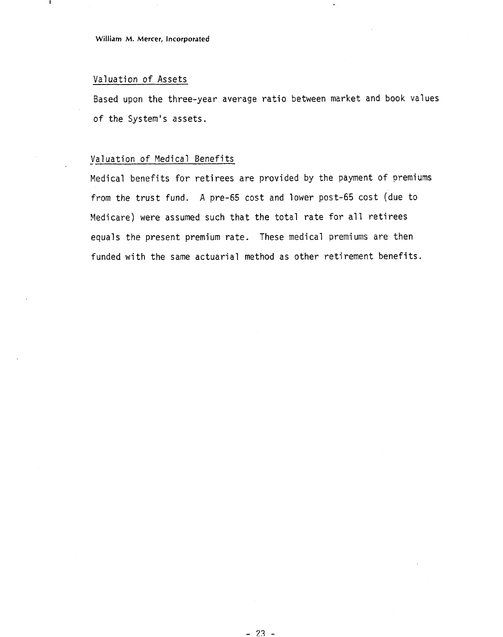#### Valuation of Assets

Based upon the three-year average ratio between market and book values of the System's assets.

### Valuation of Medical Benefits

Medical benefits for retirees are provided by the payment of premiums from the trust fund. A pre-65 cost and lower post-65 cost (due to Medicare) were assumed such that the total rate for all retirees equals the present premium rate. These medical premiums are then funded with the same actuarial method as other retirement benefits.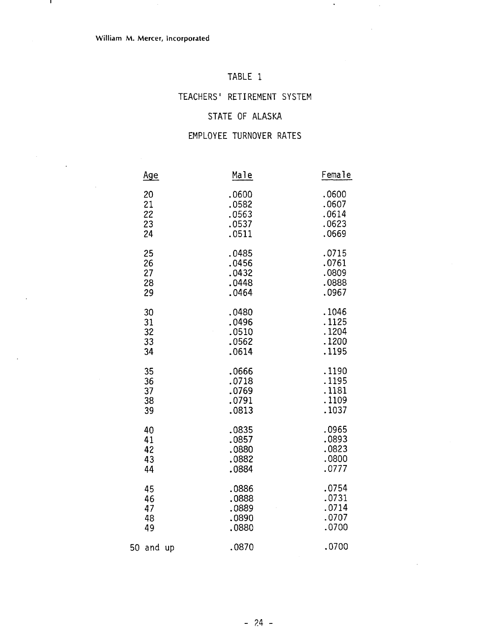$\mathbf{r}$ 

 $\ddot{\phantom{a}}$ 

### TABLE 1

 $\hat{\textbf{z}}$ 

 $\bar{\alpha}$ 

### TEACHERS' RETIREMENT SY

### STATE OF ALASKA

### EMPLOYEE TURNOVER RATES

|    | <u>Age</u> | Male  | Female |
|----|------------|-------|--------|
|    | 20         | .0600 | .0600  |
|    | 21         | .0582 | .0607  |
|    | 22         | .0563 | .0614  |
|    | 23         | .0537 | .0623  |
|    | 24         | .0511 | .0669  |
|    | 25         | .0485 | .0715  |
|    | 26         | .0456 | .0761  |
|    | 27         | .0432 | .0809  |
|    | 28         | .0448 | .0888  |
|    | 29         | .0464 | .0967  |
|    | 30         | .0480 | .1046  |
|    | 31         | .0496 | .1125  |
|    | 32         | .0510 | .1204  |
|    | 33         | .0562 | .1200  |
|    | 34         | .0614 | .1195  |
|    | 35         | .0666 | .1190  |
|    | 36         | .0718 | .1195  |
|    | 37         | .0769 | .1181  |
|    | 38         | .0791 | .1109  |
|    | 39         | .0813 | .1037  |
|    | 40         | .0835 | .0965  |
|    | 41         | .0857 | .0893  |
|    | 42         | .0880 | .0823  |
|    | 43         | .0882 | .0800  |
|    | 44         | .0884 | .0777  |
|    | 45         | .0886 | .0754  |
|    | 46         | .0888 | .0731  |
|    | 47         | .0889 | .0714  |
|    | 48         | .0890 | .0707  |
|    | 49         | .0880 | .0700  |
| 50 | and up     | .0870 | .0700  |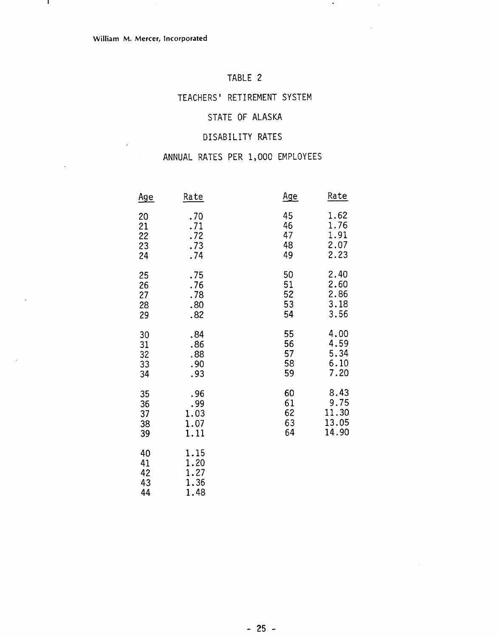$\mathbf{I}$ 

### TABLE 2

 $\bullet$ 

 $\bar{z}$ 

### TEACHERS' RETIREMENT SYSTEM

### STATE OF ALASKA

### DISABILITY RATES

### ANNUAL RATES PER 1,000 EMPLOYEES

| <u>Age</u>                 | Rate                                 | <u>Age</u> | <u>Rate</u> |
|----------------------------|--------------------------------------|------------|-------------|
| 20                         | .70                                  | 45         | 1.62        |
| 21                         | .71                                  | 46         | 1.76        |
| 22                         | .72                                  | 47         | 1.91        |
| 23                         | .73                                  | 48         | 2.07        |
| 24                         | .74                                  | 49         | 2.23        |
| 25                         | .75                                  | 50         | 2.40        |
| 26                         | .76                                  | 51         | 2.60        |
| 27                         | .78                                  | 52         | 2.86        |
| 28                         | .80                                  | 53         | 3.18        |
| 29                         | .82                                  | 54         | 3.56        |
| 30                         | .84                                  | 55         | 4.00        |
| 31                         | .86                                  | 56         | 4.59        |
| 32                         | .88                                  | 57         | 5.34        |
| 33                         | .90                                  | 58         | 6.10        |
| 34                         | .93                                  | 59         | 7.20        |
| 35                         | .96                                  | 60         | 8.43        |
| 36                         | .99                                  | 61         | 9.75        |
| 37                         | 1.03                                 | 62         | 11.30       |
| 38                         | 1.07                                 | 63         | 13.05       |
| 39                         | 1.11                                 | 64         | 14.90       |
| 40<br>41<br>42<br>43<br>44 | 1.15<br>1.20<br>1.27<br>1.36<br>1.48 |            |             |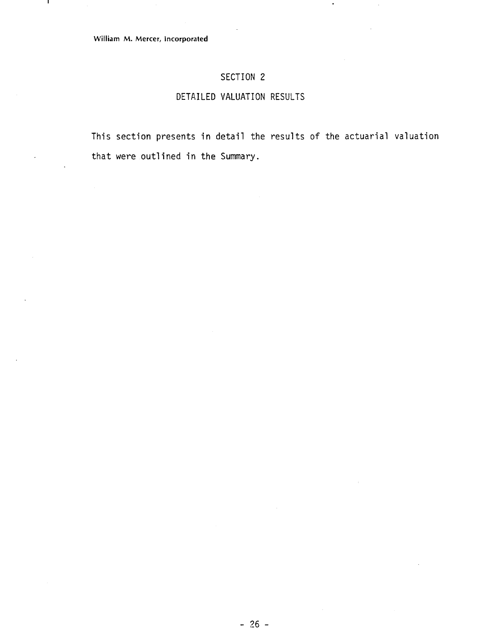$\mathbf{I}$ 

## SECTION 2

### DETAILED VALUATION RESULTS

This section presents in detail the results of the actuarial valuation that were outlined in the Summary.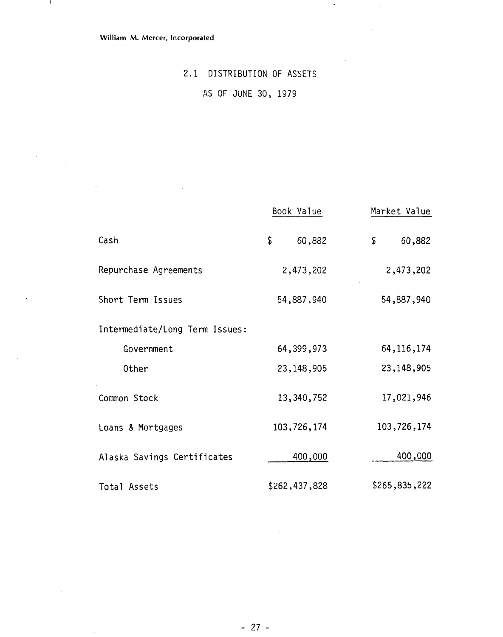$\mathcal{A}$ 

 $\sim$   $\sim$ 

and the

 $\bar{\gamma}$ 

 $\ddot{\phantom{a}}$ 

 $\hat{\mathcal{A}}$ 

 $\sim 1$ 

 $\sim$ 

## 2.1 DISTRIBUTION OF ASSETS

 $\overline{\phantom{a}}$ 

 $\ddot{\phantom{a}}$ 

 $\mathcal{A}$ 

AS OF JUNE 30, 1979

|                                | Book Value    | Market Value           |
|--------------------------------|---------------|------------------------|
| Cash                           | \$<br>60,882  | 60,882<br>$\mathbb{S}$ |
| Repurchase Agreements          | 2,473,202     | 2,473,202              |
| Short Term Issues              | 54,887.940    | 54,887,940             |
| Intermediate/Long Term Issues: |               |                        |
| Government                     | 64, 399, 973  | 64, 116, 174           |
| Other                          | 23, 148, 905  | 23,148,905             |
| Common Stock                   | 13,340,752    | 17,021,946             |
| Loans & Mortgages              | 103,726,174   | 103,726,174            |
| Alaska Savings Certificates    | 400,000       | 400,000                |
| Total Assets                   | \$262,437,828 | \$265,835,222          |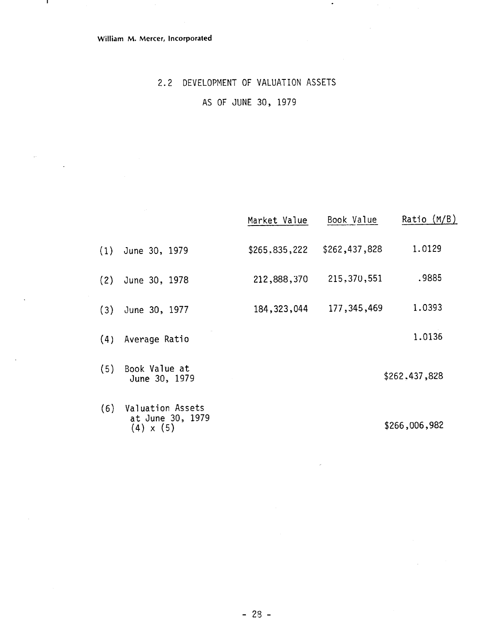$\mathbf{I}$ 

 $\bar{\omega}$ 

### 2.2 DEVELOPMENT OF VALUATION ASSETS

AS OF JUNE 30, 1979

|     |                                                          | Market Value  | Book Value    | Ratio $(M/B)$ |
|-----|----------------------------------------------------------|---------------|---------------|---------------|
| (1) | June 30, 1979                                            | \$265.835,222 | \$262,437,828 | 1.0129        |
| (2) | June 30, 1978                                            | 212,888,370   | 215,370,551   | .9885         |
| (3) | June 30, 1977                                            | 184, 323, 044 | 177, 345, 469 | 1.0393        |
| (4) | Average Ratio                                            |               |               | 1.0136        |
| (5) | Book Value at<br>June 30, 1979                           |               |               | \$262,437,828 |
| (6) | Valuation Assets<br>at June 30, 1979<br>$(4) \times (5)$ |               |               | \$266,006,982 |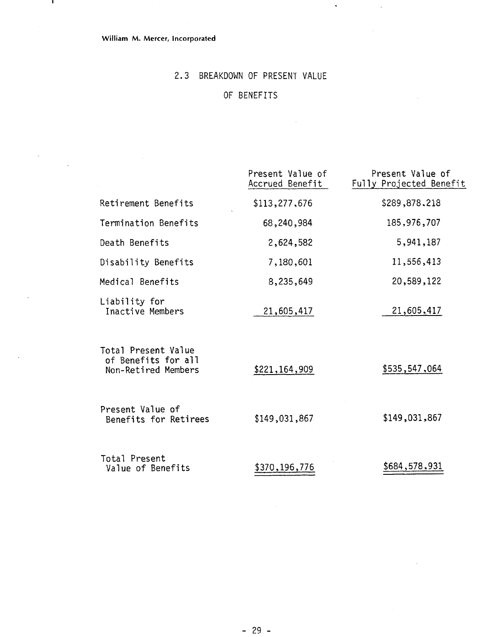- 11

 $\sim$ 

 $\ddot{\phantom{a}}$ 

### 2.3 BREAKDOWN OF PRESENT VALUE

 $\hat{\mathbf{v}}$ 

 $\bar{z}$ 

### OF BENEFITS

|                                                                   | Present Value of<br>Accrued Benefit | Present Value of<br>Fully Projected Benefit |
|-------------------------------------------------------------------|-------------------------------------|---------------------------------------------|
| Retirement Benefits                                               | \$113,277,676                       | \$289,878.218                               |
| Termination Benefits                                              | 68,240,984                          | 185, 976, 707                               |
| Death Benefits                                                    | 2,624,582                           | 5,941,187                                   |
| Disability Benefits                                               | 7,180,601                           | 11,556,413                                  |
| Medical Benefits                                                  | 8,235,649                           | 20,589,122                                  |
| Liability for<br>Inactive Members                                 | 21,605,417                          | 21,605,417                                  |
| Total Present Value<br>of Benefits for all<br>Non-Retired Members | \$221,164,909                       | \$535,547,064                               |
| Present Value of<br>Benefits for Retirees                         | \$149,031,867                       | \$149,031,867                               |
| Total Present<br>Value of Benefits                                | \$370,196,776                       | \$684,578,931                               |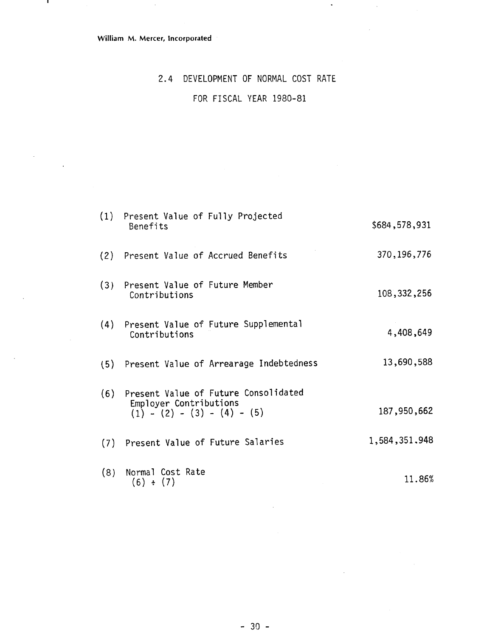$\sim$ 

 $\mathbf{I}$ 

 $\sim$ 

 $\sim$  .

# 2.4 DEVELOPMENT OF NORMAL COST RATE FOR FISCAL YEAR 1980-81

 $\ddot{\phantom{a}}$ 

 $\bar{\beta}$ 

|     | (1) Present Value of Fully Projected<br>Benefits                                                    | \$684,578,931 |
|-----|-----------------------------------------------------------------------------------------------------|---------------|
|     | (2) Present Value of Accrued Benefits                                                               | 370, 196, 776 |
|     | (3) Present Value of Future Member<br>Contributions                                                 | 108,332,256   |
|     | (4) Present Value of Future Supplemental<br>Contributions                                           | 4,408,649     |
|     | (5) Present Value of Arrearage Indebtedness                                                         | 13,690,588    |
|     | (6) Present Value of Future Consolidated<br>Employer Contributions<br>$(1) - (2) - (3) - (4) - (5)$ | 187,950,662   |
|     | (7) Present Value of Future Salaries                                                                | 1,584,351.948 |
| (8) | Normal Cost Rate<br>(6) ÷ (7)                                                                       | 11.86%        |

 $\mathcal{A}$ 

 $\sim 10^{-11}$